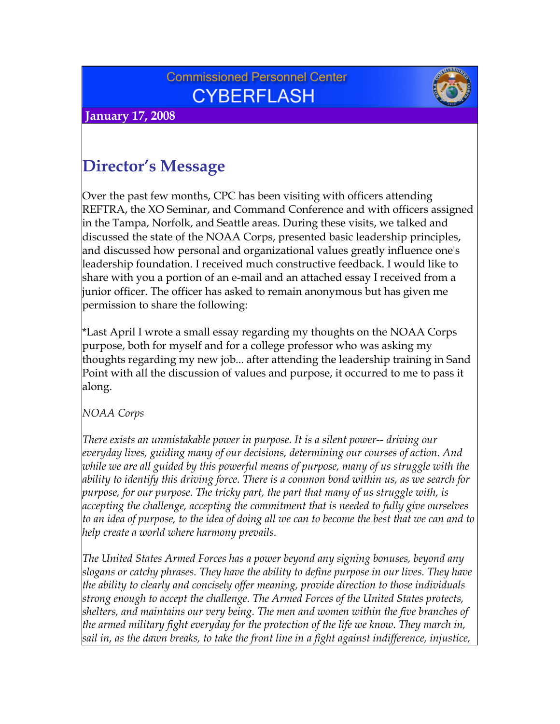## **Commissioned Personnel Center CYBERFLASH**





# **Director's Message**

Over the past few months, CPC has been visiting with officers attending REFTRA, the XO Seminar, and Command Conference and with officers assigned in the Tampa, Norfolk, and Seattle areas. During these visits, we talked and discussed the state of the NOAA Corps, presented basic leadership principles, and discussed how personal and organizational values greatly influence one's leadership foundation. I received much constructive feedback. I would like to share with you a portion of an e-mail and an attached essay I received from a junior officer. The officer has asked to remain anonymous but has given me permission to share the following:

\*Last April I wrote a small essay regarding my thoughts on the NOAA Corps purpose, both for myself and for a college professor who was asking my thoughts regarding my new job... after attending the leadership training in Sand Point with all the discussion of values and purpose, it occurred to me to pass it along.

*NOAA Corps* 

*There exists an unmistakable power in purpose. It is a silent power-- driving our everyday lives, guiding many of our decisions, determining our courses of action. And while we are all guided by this powerful means of purpose, many of us struggle with the ability to identify this driving force. There is a common bond within us, as we search for purpose, for our purpose. The tricky part, the part that many of us struggle with, is accepting the challenge, accepting the commitment that is needed to fully give ourselves to an idea of purpose, to the idea of doing all we can to become the best that we can and to help create a world where harmony prevails.* 

*The United States Armed Forces has a power beyond any signing bonuses, beyond any slogans or catchy phrases. They have the ability to define purpose in our lives. They have the ability to clearly and concisely offer meaning, provide direction to those individuals strong enough to accept the challenge. The Armed Forces of the United States protects, shelters, and maintains our very being. The men and women within the five branches of the armed military fight everyday for the protection of the life we know. They march in, sail in, as the dawn breaks, to take the front line in a fight against indifference, injustice,*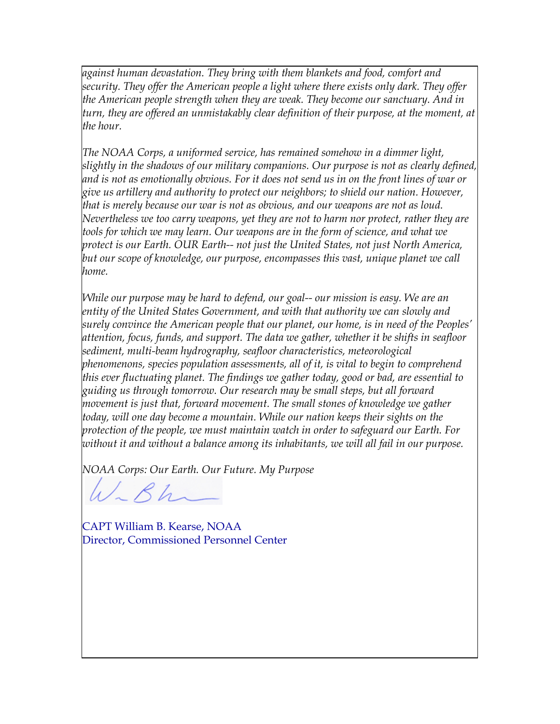*against human devastation. They bring with them blankets and food, comfort and security. They offer the American people a light where there exists only dark. They offer the American people strength when they are weak. They become our sanctuary. And in turn, they are offered an unmistakably clear definition of their purpose, at the moment, at the hour.* 

*The NOAA Corps, a uniformed service, has remained somehow in a dimmer light, slightly in the shadows of our military companions. Our purpose is not as clearly defined, and is not as emotionally obvious. For it does not send us in on the front lines of war or give us artillery and authority to protect our neighbors; to shield our nation. However, that is merely because our war is not as obvious, and our weapons are not as loud. Nevertheless we too carry weapons, yet they are not to harm nor protect, rather they are tools for which we may learn. Our weapons are in the form of science, and what we protect is our Earth. OUR Earth-- not just the United States, not just North America, but our scope of knowledge, our purpose, encompasses this vast, unique planet we call home.* 

*While our purpose may be hard to defend, our goal-- our mission is easy. We are an entity of the United States Government, and with that authority we can slowly and surely convince the American people that our planet, our home, is in need of the Peoples' attention, focus, funds, and support. The data we gather, whether it be shifts in seafloor sediment, multi-beam hydrography, seafloor characteristics, meteorological phenomenons, species population assessments, all of it, is vital to begin to comprehend this ever fluctuating planet. The findings we gather today, good or bad, are essential to guiding us through tomorrow. Our research may be small steps, but all forward movement is just that, forward movement. The small stones of knowledge we gather today, will one day become a mountain. While our nation keeps their sights on the protection of the people, we must maintain watch in order to safeguard our Earth. For without it and without a balance among its inhabitants, we will all fail in our purpose.* 

*NOAA Corps: Our Earth. Our Future. My Purpose*

 $\mu$   $\sim$   $\beta$   $h$ 

CAPT William B. Kearse, NOAA Director, Commissioned Personnel Center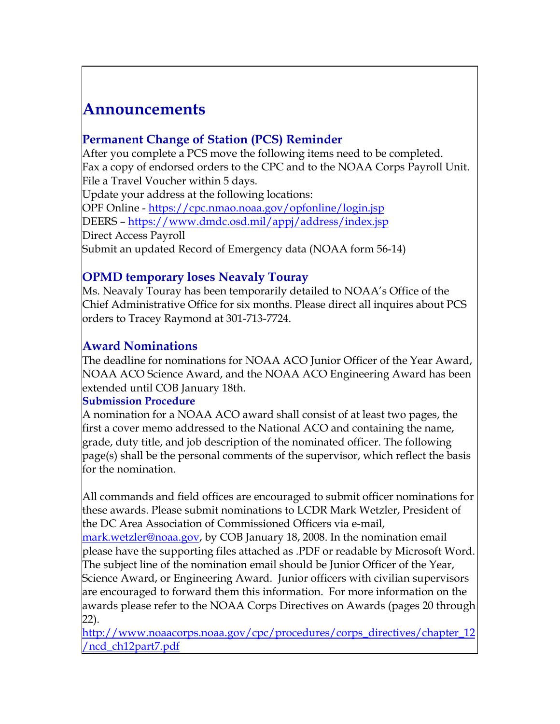# **Announcements**

### **Permanent Change of Station (PCS) Reminder**

After you complete a PCS move the following items need to be completed. Fax a copy of endorsed orders to the CPC and to the NOAA Corps Payroll Unit. File a Travel Voucher within 5 days. Update your address at the following locations: OPF Online -<https://cpc.nmao.noaa.gov/opfonline/login.jsp> DEERS –<https://www.dmdc.osd.mil/appj/address/index.jsp> Direct Access Payroll Submit an updated Record of Emergency data (NOAA form 56-14)

### **OPMD temporary loses Neavaly Touray**

Ms. Neavaly Touray has been temporarily detailed to NOAA's Office of the Chief Administrative Office for six months. Please direct all inquires about PCS orders to Tracey Raymond at 301-713-7724.

### **Award Nominations**

The deadline for nominations for NOAA ACO Junior Officer of the Year Award, NOAA ACO Science Award, and the NOAA ACO Engineering Award has been extended until COB January 18th.

#### **Submission Procedure**

A nomination for a NOAA ACO award shall consist of at least two pages, the first a cover memo addressed to the National ACO and containing the name, grade, duty title, and job description of the nominated officer. The following page(s) shall be the personal comments of the supervisor, which reflect the basis for the nomination.

All commands and field offices are encouraged to submit officer nominations for these awards. Please submit nominations to LCDR Mark Wetzler, President of the DC Area Association of Commissioned Officers via e-mail,

[mark.wetzler@noaa.gov](mailto:mark.wetzler@noaa.gov), by COB January 18, 2008. In the nomination email please have the supporting files attached as .PDF or readable by Microsoft Word. The subject line of the nomination email should be Junior Officer of the Year, Science Award, or Engineering Award. Junior officers with civilian supervisors are encouraged to forward them this information. For more information on the awards please refer to the NOAA Corps Directives on Awards (pages 20 through 22).

[http://www.noaacorps.noaa.gov/cpc/procedures/corps\\_directives/chapter\\_12](http://www.noaacorps.noaa.gov/cpc/procedures/corps_directives/chapter_12/ncd_ch12part7.pdf) [/ncd\\_ch12part7.pdf](http://www.noaacorps.noaa.gov/cpc/procedures/corps_directives/chapter_12/ncd_ch12part7.pdf)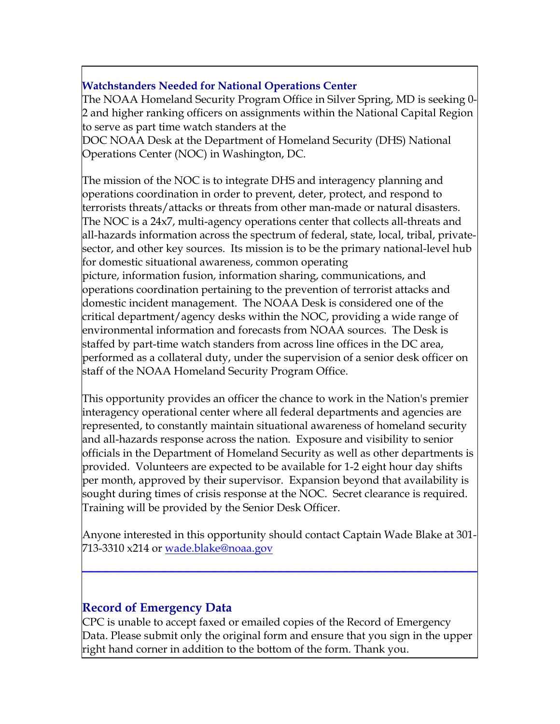#### **Watchstanders Needed for National Operations Center**

The NOAA Homeland Security Program Office in Silver Spring, MD is seeking 0- 2 and higher ranking officers on assignments within the National Capital Region to serve as part time watch standers at the

DOC NOAA Desk at the Department of Homeland Security (DHS) National Operations Center (NOC) in Washington, DC.

The mission of the NOC is to integrate DHS and interagency planning and operations coordination in order to prevent, deter, protect, and respond to terrorists threats/attacks or threats from other man-made or natural disasters. The NOC is a 24x7, multi-agency operations center that collects all-threats and all-hazards information across the spectrum of federal, state, local, tribal, privatesector, and other key sources. Its mission is to be the primary national-level hub for domestic situational awareness, common operating picture, information fusion, information sharing, communications, and operations coordination pertaining to the prevention of terrorist attacks and domestic incident management. The NOAA Desk is considered one of the critical department/agency desks within the NOC, providing a wide range of environmental information and forecasts from NOAA sources. The Desk is staffed by part-time watch standers from across line offices in the DC area, performed as a collateral duty, under the supervision of a senior desk officer on staff of the NOAA Homeland Security Program Office.

This opportunity provides an officer the chance to work in the Nation's premier interagency operational center where all federal departments and agencies are represented, to constantly maintain situational awareness of homeland security and all-hazards response across the nation. Exposure and visibility to senior officials in the Department of Homeland Security as well as other departments is provided. Volunteers are expected to be available for 1-2 eight hour day shifts per month, approved by their supervisor. Expansion beyond that availability is sought during times of crisis response at the NOC. Secret clearance is required. Training will be provided by the Senior Desk Officer.

Anyone interested in this opportunity should contact Captain Wade Blake at 301- 713-3310 x214 or wade.blake@noaa.gov

**\_\_\_\_\_\_\_\_\_\_\_\_\_\_\_\_\_\_\_\_\_\_\_\_\_\_\_\_\_\_\_\_\_\_\_\_\_\_\_\_\_\_\_\_\_\_\_\_**

#### **Record of Emergency Data**

CPC is unable to accept faxed or emailed copies of the Record of Emergency Data. Please submit only the original form and ensure that you sign in the upper right hand corner in addition to the bottom of the form. Thank you.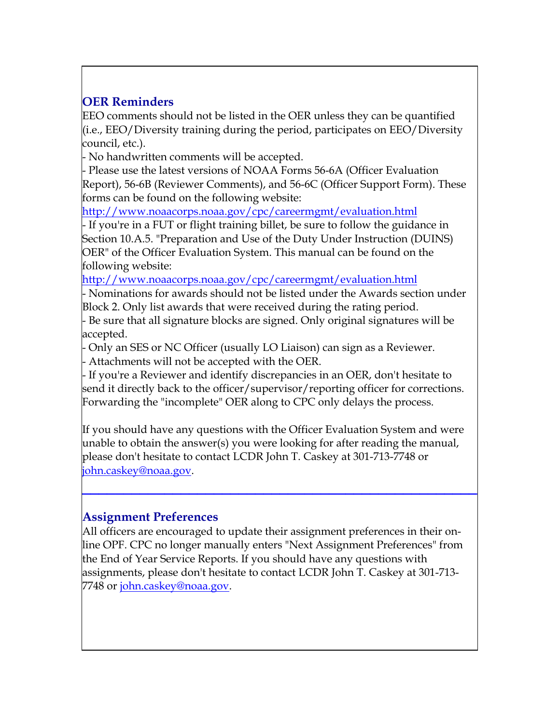## **OER Reminders**

EEO comments should not be listed in the OER unless they can be quantified (i.e., EEO/Diversity training during the period, participates on EEO/Diversity council, etc.).

- No handwritten comments will be accepted.

- Please use the latest versions of NOAA Forms 56-6A (Officer Evaluation Report), 56-6B (Reviewer Comments), and 56-6C (Officer Support Form). These forms can be found on the following website:

<http://www.noaacorps.noaa.gov/cpc/careermgmt/evaluation.html>

- If you're in a FUT or flight training billet, be sure to follow the guidance in Section 10.A.5. "Preparation and Use of the Duty Under Instruction (DUINS) OER" of the Officer Evaluation System. This manual can be found on the following website:

<http://www.noaacorps.noaa.gov/cpc/careermgmt/evaluation.html>

- Nominations for awards should not be listed under the Awards section under Block 2. Only list awards that were received during the rating period.

- Be sure that all signature blocks are signed. Only original signatures will be accepted.

- Only an SES or NC Officer (usually LO Liaison) can sign as a Reviewer.

- Attachments will not be accepted with the OER.

- If you're a Reviewer and identify discrepancies in an OER, don't hesitate to send it directly back to the officer/supervisor/reporting officer for corrections. Forwarding the "incomplete" OER along to CPC only delays the process.

If you should have any questions with the Officer Evaluation System and were unable to obtain the answer(s) you were looking for after reading the manual, please don't hesitate to contact LCDR John T. Caskey at 301-713-7748 or [john.caskey@noaa.gov](mailto:john.caskey@noaa.gov).

**\_\_\_\_\_\_\_\_\_\_\_\_\_\_\_\_\_\_\_\_\_\_\_\_\_\_\_\_\_\_\_\_\_\_\_\_\_\_\_\_\_\_\_\_\_\_\_\_**

#### **Assignment Preferences**

All officers are encouraged to update their assignment preferences in their online OPF. CPC no longer manually enters "Next Assignment Preferences" from the End of Year Service Reports. If you should have any questions with assignments, please don't hesitate to contact LCDR John T. Caskey at 301-713- 7748 or [john.caskey@noaa.gov.](mailto:john.caskey@noaa.gov)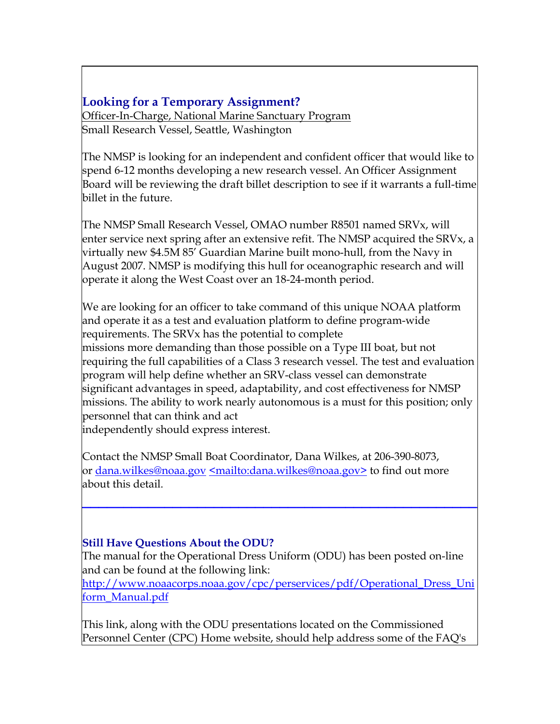### **Looking for a Temporary Assignment?**

Officer-In-Charge, National Marine Sanctuary Program Small Research Vessel, Seattle, Washington

The NMSP is looking for an independent and confident officer that would like to spend 6-12 months developing a new research vessel. An Officer Assignment Board will be reviewing the draft billet description to see if it warrants a full-time billet in the future.

The NMSP Small Research Vessel, OMAO number R8501 named SRVx, will enter service next spring after an extensive refit. The NMSP acquired the SRVx, a virtually new \$4.5M 85' Guardian Marine built mono-hull, from the Navy in August 2007. NMSP is modifying this hull for oceanographic research and will operate it along the West Coast over an 18-24-month period.

We are looking for an officer to take command of this unique NOAA platform and operate it as a test and evaluation platform to define program-wide requirements. The SRVx has the potential to complete missions more demanding than those possible on a Type III boat, but not requiring the full capabilities of a Class 3 research vessel. The test and evaluation program will help define whether an SRV-class vessel can demonstrate significant advantages in speed, adaptability, and cost effectiveness for NMSP missions. The ability to work nearly autonomous is a must for this position; only personnel that can think and act independently should express interest.

Contact the NMSP Small Boat Coordinator, Dana Wilkes, at 206-390-8073, or [dana.wilkes@noaa.gov](mailto:dana.wilkes@noaa.gov) [<mailto:dana.wilkes@noaa.gov>](mailto:dana.wilkes@noaa.gov) to find out more about this detail.

#### **Still Have Questions About the ODU?**

The manual for the Operational Dress Uniform (ODU) has been posted on-line and can be found at the following link:

**\_\_\_\_\_\_\_\_\_\_\_\_\_\_\_\_\_\_\_\_\_\_\_\_\_\_\_\_\_\_\_\_\_\_\_\_\_\_\_\_\_\_\_\_\_\_\_\_**

[http://www.noaacorps.noaa.gov/cpc/perservices/pdf/Operational\\_Dress\\_Uni](http://www.noaacorps.noaa.gov/cpc/perservices/pdf/Operational_Dress_Uniform_Manual.pdf) [form\\_Manual.pdf](http://www.noaacorps.noaa.gov/cpc/perservices/pdf/Operational_Dress_Uniform_Manual.pdf)

This link, along with the ODU presentations located on the Commissioned Personnel Center (CPC) Home website, should help address some of the FAQ's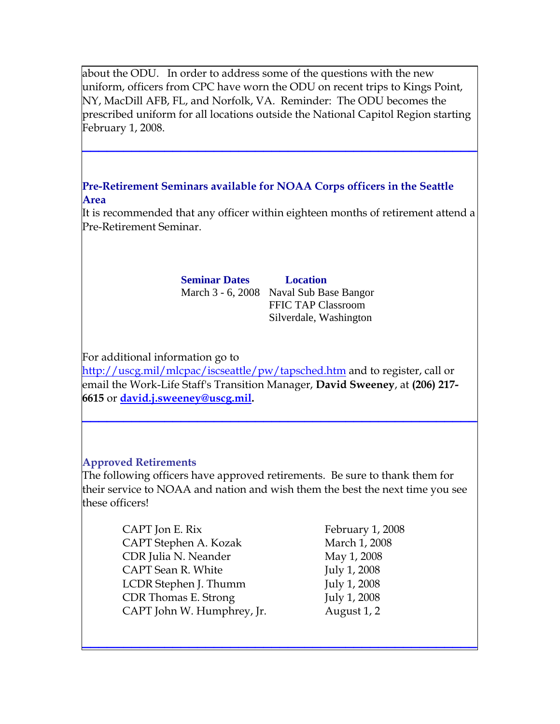about the ODU. In order to address some of the questions with the new uniform, officers from CPC have worn the ODU on recent trips to Kings Point, NY, MacDill AFB, FL, and Norfolk, VA. Reminder: The ODU becomes the prescribed uniform for all locations outside the National Capitol Region starting February 1, 2008.

**\_\_\_\_\_\_\_\_\_\_\_\_\_\_\_\_\_\_\_\_\_\_\_\_\_\_\_\_\_\_\_\_\_\_\_\_\_\_\_\_\_\_\_\_\_\_\_\_**

#### **Pre-Retirement Seminars available for NOAA Corps officers in the Seattle Area**

It is recommended that any officer within eighteen months of retirement attend a Pre-Retirement Seminar.

> **Seminar Dates Location**  March 3 - 6, 2008 Naval Sub Base Bangor

FFIC TAP Classroom Silverdale, Washington

For additional information go to

<http://uscg.mil/mlcpac/iscseattle/pw/tapsched.htm>and to register, call or email the Work-Life Staff's Transition Manager, **David Sweeney**, at **(206) 217- 6615** or **[david.j.sweeney@uscg.mil](mailto:david.j.sweeney@uscg.mil).**

**\_\_\_\_\_\_\_\_\_\_\_\_\_\_\_\_\_\_\_\_\_\_\_\_\_\_\_\_\_\_\_\_\_\_\_\_\_\_\_\_\_\_\_\_\_\_\_\_**

#### **Approved Retirements**

The following officers have approved retirements. Be sure to thank them for their service to NOAA and nation and wish them the best the next time you see these officers!

**\_\_\_\_\_\_\_\_\_\_\_\_\_\_\_\_\_\_\_\_\_\_\_\_\_\_\_\_\_\_\_\_\_\_\_\_\_\_\_\_\_\_\_\_\_\_\_\_**

CAPT Jon E. Rix February 1, 2008 CAPT Stephen A. Kozak March 1, 2008 CDR Julia N. Neander May 1, 2008 CAPT Sean R. White July 1, 2008 LCDR Stephen J. Thumm July 1, 2008 CDR Thomas E. Strong July 1, 2008 CAPT John W. Humphrey, Jr. August 1, 2